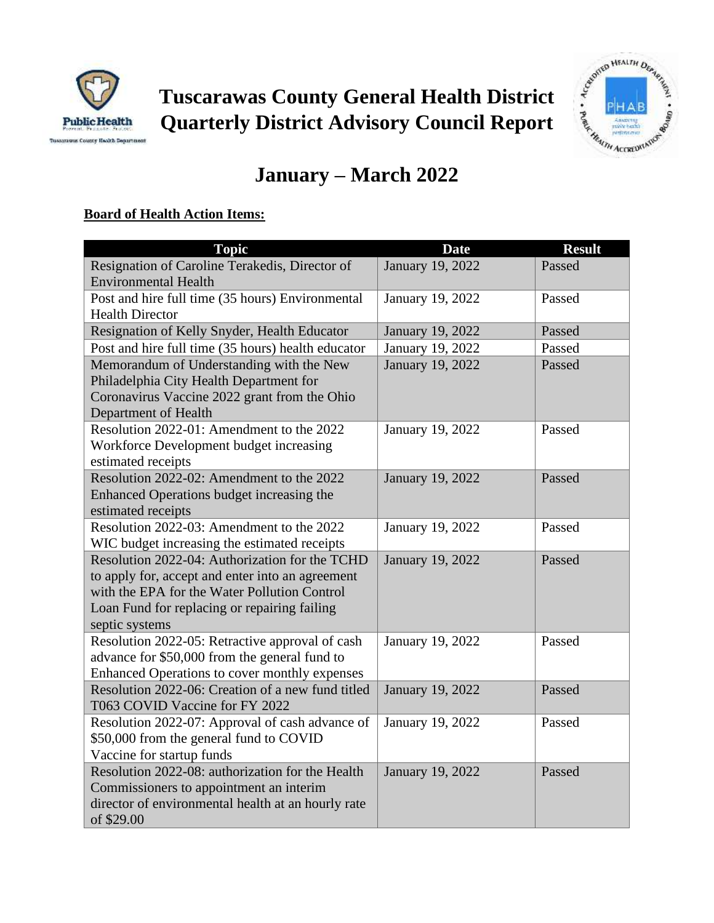



# **January – March 2022**

## **Board of Health Action Items:**

| <b>Topic</b>                                                    | <b>Date</b>      | <b>Result</b> |
|-----------------------------------------------------------------|------------------|---------------|
| Resignation of Caroline Terakedis, Director of                  | January 19, 2022 | Passed        |
| <b>Environmental Health</b>                                     |                  |               |
| Post and hire full time (35 hours) Environmental                | January 19, 2022 | Passed        |
| <b>Health Director</b>                                          |                  |               |
| Resignation of Kelly Snyder, Health Educator                    | January 19, 2022 | Passed        |
| Post and hire full time (35 hours) health educator              | January 19, 2022 | Passed        |
| Memorandum of Understanding with the New                        | January 19, 2022 | Passed        |
| Philadelphia City Health Department for                         |                  |               |
| Coronavirus Vaccine 2022 grant from the Ohio                    |                  |               |
| Department of Health                                            |                  |               |
| Resolution 2022-01: Amendment to the 2022                       | January 19, 2022 | Passed        |
| Workforce Development budget increasing                         |                  |               |
| estimated receipts<br>Resolution 2022-02: Amendment to the 2022 |                  | Passed        |
| Enhanced Operations budget increasing the                       | January 19, 2022 |               |
| estimated receipts                                              |                  |               |
| Resolution 2022-03: Amendment to the 2022                       | January 19, 2022 | Passed        |
| WIC budget increasing the estimated receipts                    |                  |               |
| Resolution 2022-04: Authorization for the TCHD                  | January 19, 2022 | Passed        |
| to apply for, accept and enter into an agreement                |                  |               |
| with the EPA for the Water Pollution Control                    |                  |               |
| Loan Fund for replacing or repairing failing                    |                  |               |
| septic systems                                                  |                  |               |
| Resolution 2022-05: Retractive approval of cash                 | January 19, 2022 | Passed        |
| advance for \$50,000 from the general fund to                   |                  |               |
| Enhanced Operations to cover monthly expenses                   |                  |               |
| Resolution 2022-06: Creation of a new fund titled               | January 19, 2022 | Passed        |
| T063 COVID Vaccine for FY 2022                                  |                  |               |
| Resolution 2022-07: Approval of cash advance of                 | January 19, 2022 | Passed        |
| \$50,000 from the general fund to COVID                         |                  |               |
| Vaccine for startup funds                                       |                  |               |
| Resolution 2022-08: authorization for the Health                | January 19, 2022 | Passed        |
| Commissioners to appointment an interim                         |                  |               |
| director of environmental health at an hourly rate              |                  |               |
| of \$29.00                                                      |                  |               |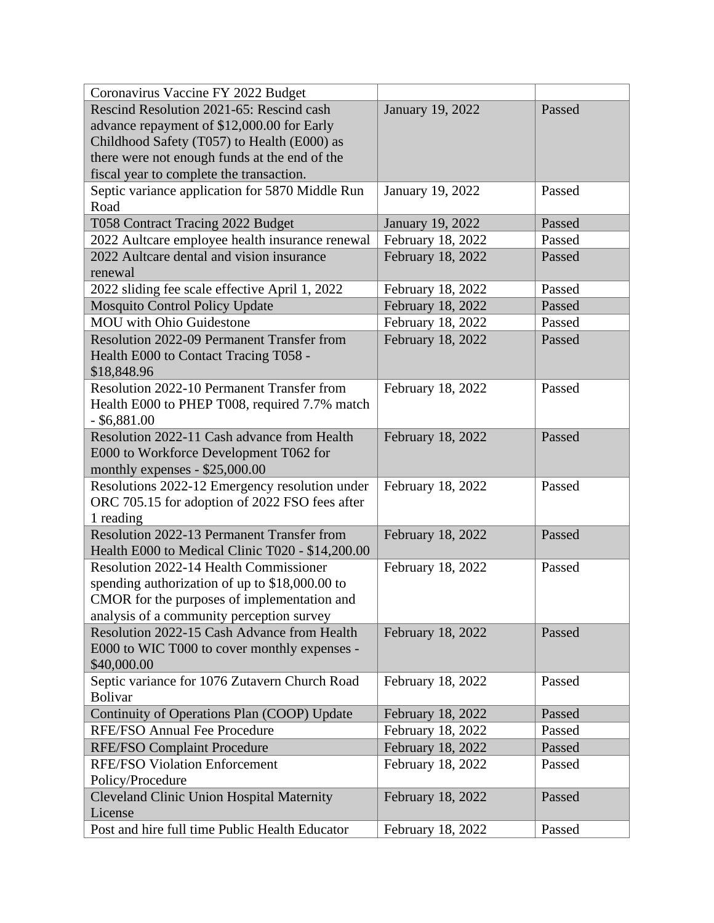| Coronavirus Vaccine FY 2022 Budget                |                   |        |
|---------------------------------------------------|-------------------|--------|
| Rescind Resolution 2021-65: Rescind cash          | January 19, 2022  | Passed |
| advance repayment of \$12,000.00 for Early        |                   |        |
| Childhood Safety (T057) to Health (E000) as       |                   |        |
| there were not enough funds at the end of the     |                   |        |
| fiscal year to complete the transaction.          |                   |        |
| Septic variance application for 5870 Middle Run   | January 19, 2022  | Passed |
| Road                                              |                   |        |
| T058 Contract Tracing 2022 Budget                 | January 19, 2022  | Passed |
| 2022 Aultcare employee health insurance renewal   | February 18, 2022 | Passed |
| 2022 Aultcare dental and vision insurance         | February 18, 2022 | Passed |
| renewal                                           |                   |        |
| 2022 sliding fee scale effective April 1, 2022    | February 18, 2022 | Passed |
| <b>Mosquito Control Policy Update</b>             | February 18, 2022 | Passed |
| <b>MOU</b> with Ohio Guidestone                   | February 18, 2022 | Passed |
| <b>Resolution 2022-09 Permanent Transfer from</b> | February 18, 2022 | Passed |
| Health E000 to Contact Tracing T058 -             |                   |        |
| \$18,848.96                                       |                   |        |
| Resolution 2022-10 Permanent Transfer from        | February 18, 2022 | Passed |
| Health E000 to PHEP T008, required 7.7% match     |                   |        |
| $-$ \$6,881.00                                    |                   |        |
| Resolution 2022-11 Cash advance from Health       | February 18, 2022 | Passed |
| E000 to Workforce Development T062 for            |                   |        |
| monthly expenses - \$25,000.00                    |                   |        |
| Resolutions 2022-12 Emergency resolution under    | February 18, 2022 | Passed |
| ORC 705.15 for adoption of 2022 FSO fees after    |                   |        |
| 1 reading                                         |                   |        |
| Resolution 2022-13 Permanent Transfer from        | February 18, 2022 | Passed |
| Health E000 to Medical Clinic T020 - \$14,200.00  |                   |        |
| <b>Resolution 2022-14 Health Commissioner</b>     | February 18, 2022 | Passed |
| spending authorization of up to \$18,000.00 to    |                   |        |
| CMOR for the purposes of implementation and       |                   |        |
| analysis of a community perception survey         |                   |        |
| Resolution 2022-15 Cash Advance from Health       | February 18, 2022 | Passed |
| E000 to WIC T000 to cover monthly expenses -      |                   |        |
| \$40,000.00                                       |                   |        |
| Septic variance for 1076 Zutavern Church Road     | February 18, 2022 | Passed |
| <b>Bolivar</b>                                    |                   |        |
| Continuity of Operations Plan (COOP) Update       | February 18, 2022 | Passed |
| <b>RFE/FSO Annual Fee Procedure</b>               | February 18, 2022 | Passed |
| <b>RFE/FSO Complaint Procedure</b>                | February 18, 2022 | Passed |
| <b>RFE/FSO Violation Enforcement</b>              | February 18, 2022 | Passed |
| Policy/Procedure                                  |                   |        |
| <b>Cleveland Clinic Union Hospital Maternity</b>  | February 18, 2022 | Passed |
| License                                           |                   |        |
| Post and hire full time Public Health Educator    | February 18, 2022 | Passed |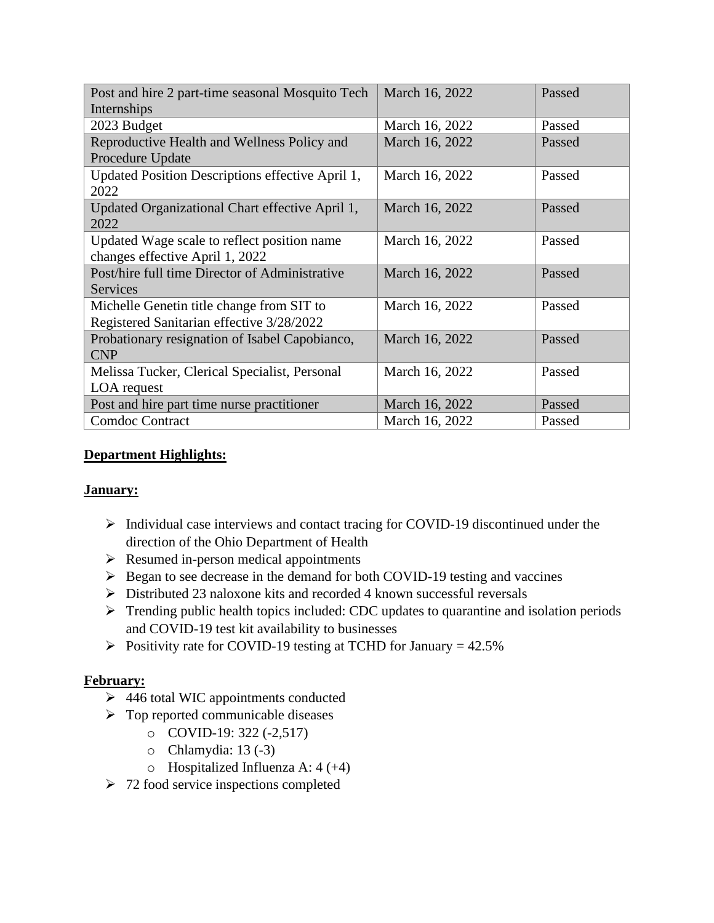| Post and hire 2 part-time seasonal Mosquito Tech        | March 16, 2022 | Passed |
|---------------------------------------------------------|----------------|--------|
| Internships                                             |                |        |
| 2023 Budget                                             | March 16, 2022 | Passed |
| Reproductive Health and Wellness Policy and             | March 16, 2022 | Passed |
| Procedure Update                                        |                |        |
| Updated Position Descriptions effective April 1,        | March 16, 2022 | Passed |
| 2022                                                    |                |        |
| Updated Organizational Chart effective April 1,<br>2022 | March 16, 2022 | Passed |
| Updated Wage scale to reflect position name             | March 16, 2022 | Passed |
| changes effective April 1, 2022                         |                |        |
| Post/hire full time Director of Administrative          | March 16, 2022 | Passed |
| <b>Services</b>                                         |                |        |
| Michelle Genetin title change from SIT to               | March 16, 2022 | Passed |
| Registered Sanitarian effective 3/28/2022               |                |        |
| Probationary resignation of Isabel Capobianco,          | March 16, 2022 | Passed |
| <b>CNP</b>                                              |                |        |
| Melissa Tucker, Clerical Specialist, Personal           | March 16, 2022 | Passed |
| LOA request                                             |                |        |
| Post and hire part time nurse practitioner              | March 16, 2022 | Passed |
| <b>Comdoc Contract</b>                                  | March 16, 2022 | Passed |

#### **Department Highlights:**

#### **January:**

- ➢ Individual case interviews and contact tracing for COVID-19 discontinued under the direction of the Ohio Department of Health
- ➢ Resumed in-person medical appointments
- ➢ Began to see decrease in the demand for both COVID-19 testing and vaccines
- ➢ Distributed 23 naloxone kits and recorded 4 known successful reversals
- ➢ Trending public health topics included: CDC updates to quarantine and isolation periods and COVID-19 test kit availability to businesses
- $\triangleright$  Positivity rate for COVID-19 testing at TCHD for January = 42.5%

#### **February:**

- ➢ 446 total WIC appointments conducted
- ➢ Top reported communicable diseases
	- o COVID-19: 322 (-2,517)
	- $\circ$  Chlamydia: 13 (-3)
	- $\circ$  Hospitalized Influenza A: 4 (+4)
- $\geq 72$  food service inspections completed